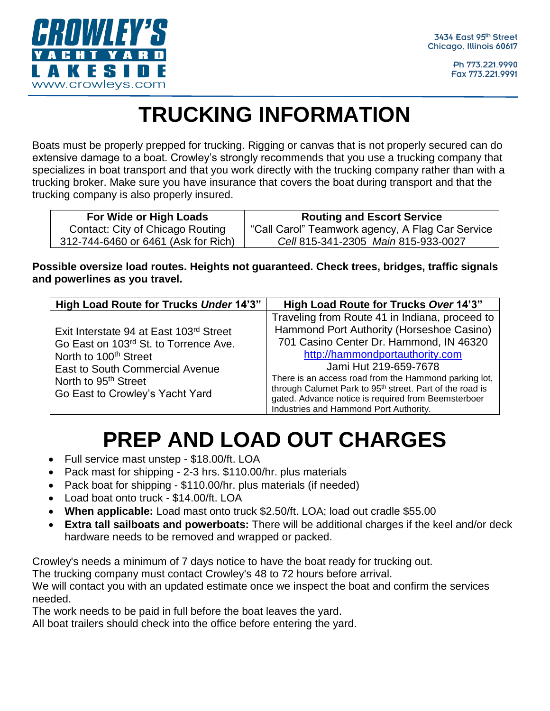

Ph 773.221.9990 Fax 773.221.9991

### **TRUCKING INFORMATION**

Boats must be properly prepped for trucking. Rigging or canvas that is not properly secured can do extensive damage to a boat. Crowley's strongly recommends that you use a trucking company that specializes in boat transport and that you work directly with the trucking company rather than with a trucking broker. Make sure you have insurance that covers the boat during transport and that the trucking company is also properly insured.

| For Wide or High Loads              | <b>Routing and Escort Service</b>                |
|-------------------------------------|--------------------------------------------------|
| Contact: City of Chicago Routing    | "Call Carol" Teamwork agency, A Flag Car Service |
| 312-744-6460 or 6461 (Ask for Rich) | Cell 815-341-2305 Main 815-933-0027              |

**Possible oversize load routes. Heights not guaranteed. Check trees, bridges, traffic signals and powerlines as you travel.**

| High Load Route for Trucks Under 14'3"                                                                                                                                                                                          | High Load Route for Trucks Over 14'3"                                                                                                                                                                                                                                                                                                                                                                                                |
|---------------------------------------------------------------------------------------------------------------------------------------------------------------------------------------------------------------------------------|--------------------------------------------------------------------------------------------------------------------------------------------------------------------------------------------------------------------------------------------------------------------------------------------------------------------------------------------------------------------------------------------------------------------------------------|
| Exit Interstate 94 at East 103rd Street<br>Go East on 103rd St. to Torrence Ave.<br>North to 100 <sup>th</sup> Street<br>East to South Commercial Avenue<br>North to 95 <sup>th</sup> Street<br>Go East to Crowley's Yacht Yard | Traveling from Route 41 in Indiana, proceed to<br>Hammond Port Authority (Horseshoe Casino)<br>701 Casino Center Dr. Hammond, IN 46320<br>http://hammondportauthority.com<br>Jami Hut 219-659-7678<br>There is an access road from the Hammond parking lot,<br>through Calumet Park to 95 <sup>th</sup> street. Part of the road is<br>gated. Advance notice is required from Beemsterboer<br>Industries and Hammond Port Authority. |

## **PREP AND LOAD OUT CHARGES**

- Full service mast unstep \$18.00/ft. LOA
- Pack mast for shipping 2-3 hrs. \$110.00/hr. plus materials
- Pack boat for shipping \$110.00/hr. plus materials (if needed)
- Load boat onto truck \$14.00/ft. LOA
- **When applicable:** Load mast onto truck \$2.50/ft. LOA; load out cradle \$55.00
- **Extra tall sailboats and powerboats:** There will be additional charges if the keel and/or deck hardware needs to be removed and wrapped or packed.

Crowley's needs a minimum of 7 days notice to have the boat ready for trucking out. The trucking company must contact Crowley's 48 to 72 hours before arrival. We will contact you with an updated estimate once we inspect the boat and confirm the services needed.

The work needs to be paid in full before the boat leaves the yard.

All boat trailers should check into the office before entering the yard.